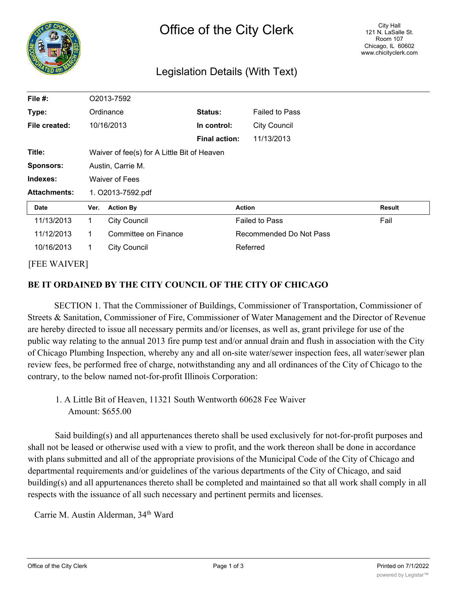

### Legislation Details (With Text)

| File #:             | O2013-7592                                  |                      |                      |                         |                       |        |
|---------------------|---------------------------------------------|----------------------|----------------------|-------------------------|-----------------------|--------|
| Type:               | Ordinance                                   |                      | <b>Status:</b>       |                         | <b>Failed to Pass</b> |        |
| File created:       |                                             | 10/16/2013           | In control:          |                         | <b>City Council</b>   |        |
|                     |                                             |                      | <b>Final action:</b> |                         | 11/13/2013            |        |
| Title:              | Waiver of fee(s) for A Little Bit of Heaven |                      |                      |                         |                       |        |
| <b>Sponsors:</b>    | Austin, Carrie M.                           |                      |                      |                         |                       |        |
| Indexes:            | <b>Waiver of Fees</b>                       |                      |                      |                         |                       |        |
| <b>Attachments:</b> | 1. O2013-7592.pdf                           |                      |                      |                         |                       |        |
| Date                | Ver.                                        | <b>Action By</b>     |                      | <b>Action</b>           |                       | Result |
| 11/13/2013          | $\mathbf 1$                                 | <b>City Council</b>  |                      | <b>Failed to Pass</b>   |                       | Fail   |
| 11/12/2013          | 1.                                          | Committee on Finance |                      | Recommended Do Not Pass |                       |        |
| 10/16/2013          | $\mathbf{1}$                                | <b>City Council</b>  |                      | Referred                |                       |        |
|                     |                                             |                      |                      |                         |                       |        |

### [FEE WAIVER]

### **BE IT ORDAINED BY THE CITY COUNCIL OF THE CITY OF CHICAGO**

SECTION 1. That the Commissioner of Buildings, Commissioner of Transportation, Commissioner of Streets & Sanitation, Commissioner of Fire, Commissioner of Water Management and the Director of Revenue are hereby directed to issue all necessary permits and/or licenses, as well as, grant privilege for use of the public way relating to the annual 2013 fire pump test and/or annual drain and flush in association with the City of Chicago Plumbing Inspection, whereby any and all on-site water/sewer inspection fees, all water/sewer plan review fees, be performed free of charge, notwithstanding any and all ordinances of the City of Chicago to the contrary, to the below named not-for-profit Illinois Corporation:

1. A Little Bit of Heaven, 11321 South Wentworth 60628 Fee Waiver Amount: \$655.00

Said building(s) and all appurtenances thereto shall be used exclusively for not-for-profit purposes and shall not be leased or otherwise used with a view to profit, and the work thereon shall be done in accordance with plans submitted and all of the appropriate provisions of the Municipal Code of the City of Chicago and departmental requirements and/or guidelines of the various departments of the City of Chicago, and said building(s) and all appurtenances thereto shall be completed and maintained so that all work shall comply in all respects with the issuance of all such necessary and pertinent permits and licenses.

Carrie M. Austin Alderman, 34<sup>th</sup> Ward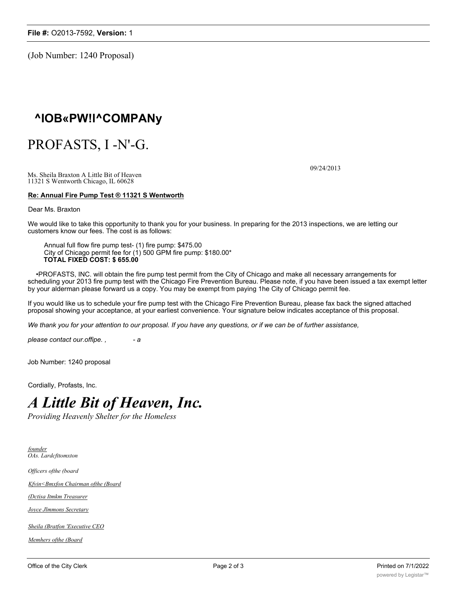(Job Number: 1240 Proposal)

## **^IOB«PW!l^COMPANy**

## PROFASTS, I -N'-G.

09/24/2013

Ms. Sheila Braxton A Little Bit of Heaven 11321 S Wentworth Chicago, IL 60628

#### **Re: Annual Fire Pump Test ® 11321 S Wentworth**

Dear Ms. Braxton

We would like to take this opportunity to thank you for your business. In preparing for the 2013 inspections, we are letting our customers know our fees. The cost is as follows:

Annual full flow fire pump test- (1) fire pump: \$475.00 City of Chicago permit fee for (1) 500 GPM fire pump: \$180.00\* **TOTAL FIXED COST: \$ 655.00**

•PROFASTS, INC. will obtain the fire pump test permit from the City of Chicago and make all necessary arrangements for scheduling your 2013 fire pump test with the Chicago Fire Prevention Bureau. Please note, if you have been issued a tax exempt letter by your alderman please forward us a copy. You may be exempt from paying 1he City of Chicago permit fee.

If you would like us to schedule your fire pump test with the Chicago Fire Prevention Bureau, please fax back the signed attached proposal showing your acceptance, at your earliest convenience. Your signature below indicates acceptance of this proposal.

*We thank you for your attention to our proposal. If you have any questions, or if we can be of further assistance,*

*please contact our.offipe. , - a*

Job Number: 1240 proposal

Cordially, Profasts, Inc.

# *A Little Bit of Heaven, Inc.*

*Providing Heavenly Shelter for the Homeless*

*founder OAs. Lardcfttomxton*

*Officers ofthe (board*

*Kfvin<Bmxfon Chairman ofthe (Board*

*(Dctisa Itmkm Treasurer*

*Joyce Jlmmons Secretary*

*Sheila (Bratfon 'Executive CEO*

*Memhers ofthe (Board*